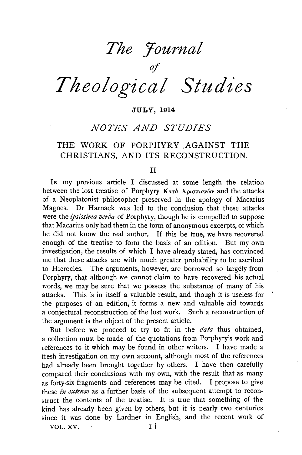# *The Yournal*

*of Theological Studies* 

### JULY, 1914

# *NOTES AND STUDIES*

# THE WORK OF PORPHYRY AGAINST THE CHRISTIANS, AND ITS RECONSTRUCTION.

#### II

IN my previous article I discussed at some length the relation between the lost treatise of Porphyry *Κατ*ά Χριστιανῶν and the attacks of a Neoplatonist philosopher preserved in the apology of Macarius Magnes. Dr Harnack was led to the conclusion that these attacks were the *ipsissima verba* of Porphyry, though he is compelled to suppose that Macarius only had them in the form of anonymous excerpts, of which he did not know the real author. If this be true, we have recovered enough of the treatise to form the basis of an edition. But my own investigation, the results of which I have already stated, has convinced me that these attacks are with much greater probability to be ascribed to Hierocles. The arguments, however, are borrowed so largely from Porphyry, that although we cannot claim to have recovered his actual words, we may be sure that we possess the substance of many of his attacks. This is in itself a valuable result, and though it is useless for the purposes of an edition, it forms a new and valuable aid towards a conjectural reconstruction of the lost work. Such a reconstruction of the argument is the object of the present article.

But before we proceed to try to fit in the *data* thus obtained, a collection must be made of the quotations from Porphyry's work and references to it which may be found in other writers. I have made a fresh investigation on my own account, although most of the references had already been brought together by others. I have then carefully compared their conclusions with my own, with the result that as many as forty-six fragments and references may be cited. I propose to give these *in extenso* as a further basis of the subsequent attempt to reconstruct the contents of the treatise. It is true that something of the kind has already been given by others, but it is nearly two centuries since it was done by Lardner in English, and the recent work of

VOL. XV. I i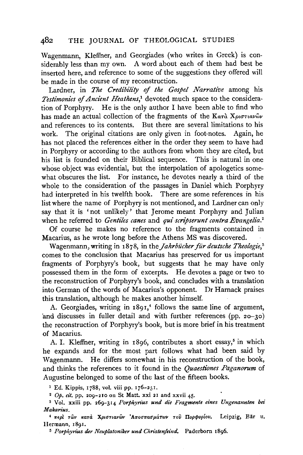Wagenmann, Kleffner, and Georgiades (who writes in Greek) is considerably less than my own. A word about each of them had best be inserted here, and reference to some of the suggestions they offered will be made in the course of my reconstruction.

Lardner, in *The Credibility* of *the Gospel Narrative* among his *Testimonies of Ancient Heathens*,<sup>1</sup> devoted much space to the consideration of Porphyry. He is the only author I have been able to find who has made an actual collection of the fragments of the Kara Xpioriavov and references to its contents. But there are several limitations to his work. The original citations are only given in foot-notes. Again, he has not placed the references either in the order they seem to have had in Porphyry or according to the authors from whom they are cited, but his list is founded on their Biblical sequence. This is natural in one whose object was evidential, but the interpolation of apologetics somewhat obscures the list. For instance, he devotes nearly a third of the whole to the consideration of the passages in Daniel which Porphyry had interpreted in his twelfth book. There are some references in his list where the name of Porphyry is not mentioned, and Lardner can only say that it is 'not unlikely' that Jerome meant Porphyry and Julian when he referred to *Gentiles canes* and *qui scripserunt contra Evangelia.* <sup>2</sup>

Of course he makes no reference to the fragments contained in Macarius, as he wrote long before the Athens MS was discovered.

Wagenmann, writing in 1878, in the *Jahrbücher für deutsche Theologie*,<sup>3</sup> comes to the conclusion that Macarius has preserved for us important fragments of Porphyry's book, but suggests that he may have only possessed them in the form of excerpts. He devotes a page or two to the reconstruction of Porphyry's book, and concludes with a translation into German of the words of Macarius's opponent. Dr Harnack praises this translation, although he makes another himself.

A. Georgiades, writing in 1891,<sup>4</sup> follows the same line of argument, and discusses in fuller detail and with further references (pp. 20-30) the reconstruction of Porphyry's book, but is more brief in his treatment of Macarius.

A. I. Kleffner, writing in  $1896$ , contributes a short essay,<sup>5</sup> in which he expands and for the most part follows what had been said by Wagenmann. He differs somewhat in his reconstruction of the book, and thinks the references to it found in the *Quaestiones Paganorum* of Augustine belonged to some of the last of the fifteen books.

<sup>1</sup> Ed. Kippis, 1788, vol. viii pp. 176-251.<br><sup>2</sup>  $Op. ci.$  pp. 209-210 on St Matt. xxi 21 and xxvii 45.

<sup>3</sup> Vol. xxiii pp. 269-314 Porphyrius und die Fragmente eines Ungenannten bei *Makarius.* 

<sup>4</sup> περί των κατά Χριστιανών 'Αποσπασμάτων τού Πορφυρίου. Leipzig, Bär u. Hermann, 1891.

5 *Porphyrius der Neuplatoniker und Christenfiind.* Paderborn 1896.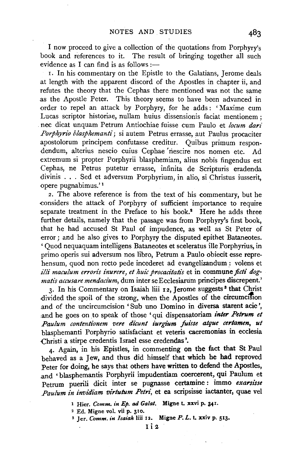I now proceed to give a collection of the quotations from Porphyry's book and references to it. The result of bringing together all such evidence as I can find is as follows :-

r. In his commentary on the Epistle to the Galatians, Jerome deals at length with the apparent discord of the Apostles in chapter ii, and refutes the theory that the Cephas there mentioned was not the same as the Apostle Peter. This theory seems to have been advanced in order to repel an attack by Porphyry, for he .adds: 'Maxime cum Lucas scriptor historiae, nullam huius dissensionis faciat mentionem ; nec dicat unquam Petrum Antiochiae fuisse cum Paulo et *locum dari* Porphyrio blasphemanti; si autem Petrus errasse, aut Paulus procaciter apostolorum principem confutasse creditur. Quibus primum respondendum, alterius nescio cuius Cephae nescire nos nomen etc. Ad extremum si propter Porphyrii blasphemiam, alius nobis fingendus est Cephas, ne Petrus putetur errasse, infinita de Scripturis eradenda divinis . . . Sed et adversum Porphyrium, in alio, si Christus iusserit, opere pugnabimus.' 1

2. The above reference is from the text of his commentary, but he -considers the attack of Porphyry of sufficient importance to require separate treatment in the Preface to his book.<sup>2</sup> Here he adds three further details, namely that the passage was from Porphyry's first book, that he had accused St Paul of impudence, as well as St Peter of error ; and he also gives to Porphyry the disputed epithet Bataneotes. ' Quod nequaquam intelligens Bataneotes et sceleratus ille Porphyrius, in primo operis sui adversum nos libro, Petrum a Paulo obiecit esse reprehensum, quod non recto pede incederet ad evangelizandum: volens et illi maculum erroris inurere, et huic procacitatis et in commune ficti dog*matis accusare mendacium*, dum inter se Ecclesiarum principes discrepent.'

3. In his Commentary on Isaiah liii 12, Jerome suggests<sup>8</sup> that Christ divided the spoil of the strong, when the Apostles of the circumcision .and of the uncircumcision ' Sub uno Domino in diversa starent acie ', and he goes on to speak of those 'qui dispensatoriam *inter Petrum et Paulum contentionem vere dicunt iurgium fuisse atque certamen, ut*  blasphemanti Porphyrio satisfaciant et veteris caeremonias in ecclesia Christi a stirpe credentis Israel esse credendas '.

4· Again, in his Epistles, in commenting on the fact that St Paul behaved as a Jew, and thus did himself that which he had reproved Peter for doing, he says that others have written to defend the Apostles, .and • blasphemantis Porphyrii impudentiam .coercerent, qui Paulum et Petrum puerili dicit inter se pugnasse certamine : immo *exarsisse Paulitm in invidiam virtutum Petri,* et ea scripsisse iactanter, quae vel

s Jer. *Comm. in Isaiah* !iii 12. Migne *P. L.* t, xxiv p. 513.

<sup>1</sup> Hier. *Comm. in Ep. ad Galat.* Migne t. xxvi p. 341.

<sup>2</sup> Ed. Migne vol. vii p. 310.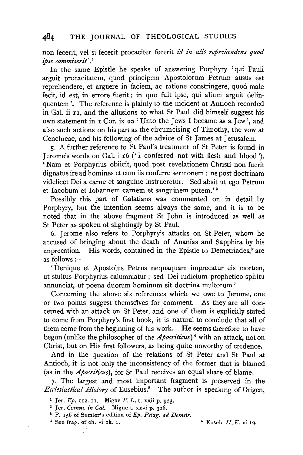non fecerit, vel si fecerit procaciter fecerit *id in alio reprehendens quod ipse commiserit* '. 1

In the same Epistle he speaks of answering Porphyry 'qui Pauli arguit procacitatem, quod principem Apostolorum Petrum ausus est reprehendere, et arguere in faciem, ac ratione constringere, quod male fecit, id est, in errore fuerit : in quo fuit ipse, qui alium arguit delinquentem '. The reference is plainly to the incident at Antioch recorded in Gal. ii  $r_1$ , and the allusions to what St Paul did himself suggest his own statement in r Cor. ix *zo* 'Unto the Jews I became as a Jew', and also such actions on his part as the circumcising of Timothy, the vow at Cenchreae, and his following of the advice of St James at Jerusalem.

5· A further reference to St Paul's treatment of St Peter is found in Jerome's words on Gal. i 16 (' I conferred not with flesh and blood '). 'Nam et Porphyrius obiicit, quod post revelationem Christi non fuerit dignatus ire ad homines et cum iis conferre sermonem : ne post doctrinam videlicet Dei a carne et sanguine instrueretur. Sed absit ut ego Petrum et Iacobum et Iohannem carnem et sanguinem putem.'<sup>2</sup>

Possibly this part of Galatians was commented on in detail by Porphyry, but the intention seems always the same, and it is to be noted that in the above fragment St John is introduced as well as St Peter as spoken of slightingly by St Paul.

6. Jerome also refers to Porphyry's attacks on St Peter, whom he accused of bringing about the death of Ananias and Sapphira by his imprecation. His words, contained in the Epistle to Demetriades,<sup>3</sup> are as follows :-

'Denique et Apostolus Petrus nequaquam imprecatur eis mortem, ut stultus Porphyrius calumniatur ; sed Dei iudicium prophetico spiritu annunciat, ut poena duorum hominum sit doctrina multorum.'

Concerning the above six references which we owe to Jerome, one or two points suggest themsetves for comment. As they are all concerned with an attack on St Peter, and one of them is explicitly stated to come from Porphyry's first book, it is natural to conclude that all of them come from the beginning of his work. He seems therefore to have begun (unlike the philosopher of the *Apocriticus)* • with an attack, not on Christ, but on His first followers, as being quite unworthy of credence.

And in the question of the relations of St Peter and St Paul at Antioch, it is not only the inconsistency of the former that is blamed (as in the *Apocriticus),* for St Paul receives an equal share of blame.

7. The largest and most important fragment is preserved in the *Ecclesiastical History* of Eusebius.5 The author is speaking of Origen,

 $\bullet$  See frag. of ch. vi bk. 1.  $\bullet$  5 Euseb. H. E. vi 19.

<sup>1</sup> Jer. *Ep.* 112. 11. Migne *P. L.* t. xxii p. 923.<br><sup>2</sup> Jer. *Comm. in Gal.* Migne t. xxvi p. 326.<br><sup>3</sup> P. 156 of Semler's edition of *Ep. Pelag. ad Demetr.*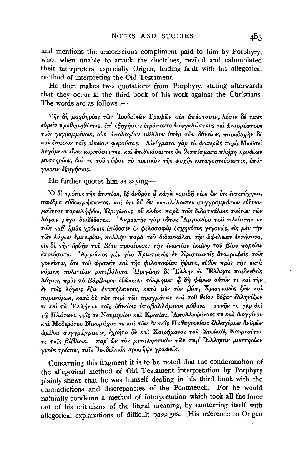and mentions the unconscious compliment paid to him by Porphyry, who, when unable to attack the doctrines, reviled and calumniated their interpreters, especially Origen, finding fault with his allegorical method of interpreting the Old Testament.

He then makes two quotations from Porphyry, stating afterwards that they occur in the third book of his work against the Christians. The words are as follows :-

Της δη μοχθηρίας τῶν Ἰουδαϊκῶν Γραφῶν οὐκ ἀπόστασιν, λύσιν δέ τινες εύρεῖν προθυμηθέντες, ἐπ' ἐξηγήσεις ἐτράποντο ἀσυγκλώστους καὶ ἀναρμόστους τοίς γεγραμμένοις, ούκ άπολογίαν μάλλον ύπερ των όθνείων, παραδοχην δε και έπαινον τοίς οικείοις φερούσας. Αινίγματα γαρ τα φανερώς παρά Μωϋσεί λεγόμενα είναι κομπάσαντες, και επιθειάσαντες ως θεσπίσματα πλήρη κρυφίων μυστηρίων, διά τε του τύφου το κριτικον της ψυχης καταγοητεύσαντες, έπάγουσιν έξηγήσεις.

He further quotes him as saying-

<sup>'</sup>Ο δε τρόπος της άτοπίας, εξ ανδρος ω κάγω κομιδη νέος ων έτι εντετύχηκα, σφόδρα εύδοκιμήσαντος, και έτι δι ών καταλέλοιπεν συγγραμμάτων εύδοκιμούντος παρειλήφθω, 'Ωριγένους, ού κλέος παρά τους διδασκάλοις τούτων των λόγων μέγα διαδέδοται. 'Ακροατής γάρ ούτος Αμμωνίου του πλείστην έν τοίς καθ' ήμας χρόνοις επίδοσιν εν φιλοσοφία εσχηκότος γεγονώς, είς μεν την τών λόγων έμπειρίαν, πολλήν παρά του διδασκάλου την ώφέλειαν εκτήσατο, είς δε την δρθήν του βίου προαίρεσιν την εναντίαν εκείνω του βίου πορείαν έποιήσατο. Αμμώνιος μέν γάρ Χριστιανός έν Χριστιανοΐς άνατραφείς τοΐς γονεύσιν, ότε του φρονείν και της φιλοσοφίας ήψατο, εύθυς προς την κατά νόμους πολιτείαν μετεβάλετο, Ώριγένης δε Έλλην έν Έλλησι παιδευθείς λόγοις, πρός το βάρβαρον εξώκειλε τόλμημα φ δη φέρων αυτόν τε και την έν τους λόγοις έξιν έκαπήλευσεν, κατά μέν τον βίον, Χριστιανώς ζών και παρανόμως, κατά δε τάς περί των πραγμάτων και του θείου δόξας ελληνίζων τε και τα Ελλήνων τοις όθνείοις υποβαλλόμενος μύθοις. συνήν τε γαρ άει τώ Πλάτωνι, τους τε Νουμηνίου και Κρονίου, Απολλοφάνους τε και Λογγίνου και Μοδεράτου Νικομάχου τε και των έν τοις Πυθαγορείοις έλλογίμων ανδρών ώμίλει συγγράμμασιν, έχρητο δε και Χαιρήμονος του Στωϊκού, Κουρνούτου τε ταΐς βίβλοις. παρ' ών τον μεταληπτικόν των παρ' Έλλησιν μυστηρίων γνούς τρόπον, ταΐς Ιουδαϊκαΐς προσήψε γραφαΐς.

Concerning this fragment it is to be noted that the condemnation of the allegorical method of Old Testament interpretation by Porphyry plainly shews that he was himself dealing in his third book with the contradictions and discrepancies of the Pentateuch. For he would naturally condemn a method of interpretation which took all the force out of his criticisms of the literal meaning, by contenting itself with allegorical explanations of difficult passages. His reference to Origen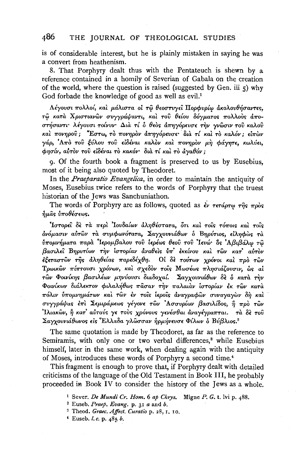is of considerable interest, but he is plainly mistaken in saying he was a convert from heathenism.

8. That Porphyry dealt thus with the Pentateuch is shewn by a reference contained in a homily of Severian of Gabala on the creation of the world, where the question is raised (suggested by Gen. iii  $\zeta$ ) why God forbade the knowledge of good as well as evil.<sup>1</sup>

Λέγουσι πολλοί, και μάλιστα οι τω θεοστυγεί Πορφυρίω ακολουθήσαντες, τώ κατά Χριστιανών συγγράψαντι, και του θείου δόγματος πολλούς άποστήσαντι· λέγουσι τοίνυν· Διά τί δ θεός άπηγόρευσε την γνώσιν του καλού καί πονηρού; "Εστω, τό πονηρόν απηγόρευσε διά τί και τό καλόν; είπων γάρ, Από του ξύλου του είδέναι καλόν και πονηρόν μη φάγητε, κωλύει, φησίν, αύτον του είδέναι το κακόν· δια τί και το άγαθόν;

9. Of the fourth book a fragment is preserved to us by Eusebius, most of it being also quoted by Theodoret.

In the *Praeparatio Evangelica*, in order to maintain the antiquity of Moses, Eusebius twice refers to the words of Porphyry that the truest historian of the Jews was Sanchuniathon.

The words of Porphyry are as follows, quoted as  $\epsilon v$  rerápro  $\tau \hat{\eta} s$   $\pi \rho \delta s$  $\delta$ μάς  $\delta \pi$ οθέσεως.

Ίστορεί δε τα περί Ίουδαίων άληθέστατα, ότι και τοίς τόποις και τοίς δνόμασιν αύτων τα συμφωνότατα, Σαγχουνιάθων δ Βηρύτιος, είληφως τα ύπομνήματα παρά 'Ιερομβαλου του ίερέως θεού του 'Ιευώ' δς 'Αβιβάλω τώ βασιλεί Βηρυτίων την ίστορίαν αναθείς υπ' εκείνου και των κατ' αυτον έξεταστών της άληθείας παρεδέχθη. Οι δε τούτων χρόνοι και προ των Τρωικών πίπτουσι χρόνων, και σχεδον τοις Μωσέως πλησιάζουσιν, ώς αί τών Φοινίκης βασιλέων μηνύουσι διαδοχαί. Σαγχουνιάθων δε ο κατά την Φοινίκων διάλεκτον φιλαλήθως πάσαν την παλαιάν ίστορίαν έκ των κατά πόλιν ύπομνημάτων και των έν τοις ιεροίς άναγραφων συναγαγων δη και συγγράψας έπι Σεμιράμεως γέγονε των Ασσυρίων βασιλίδος, η προ των Ιλιακών, ή κατ' αύτούς γε τους χρόνους γενέσθαι άναγέγραπται. τα δε του Σαγχουνιάθωνος είς Έλλαδα γλώσσαν ήρμήνευσε Φίλων ο Βύβλιος.<sup>2</sup>

The same quotation is made by Theodoret, as far as the reference to Semiramis, with only one or two verbal differences,<sup>3</sup> while Eusebius himself, later in the same work, when dealing again with the antiquity of Moses, introduces these words of Porphyry a second time.<sup>4</sup>

This fragment is enough to prove that, if Porphyry dealt with detailed criticisms of the language of the Old Testament in Book III, he probably proceeded in Book IV to consider the history of the Jews as a whole.

<sup>&</sup>lt;sup>1</sup> Sever, *De Mundi Cr. Hom.* 6 ap Chrys. Migne P. G. t. lvi p. 488.

<sup>&</sup>lt;sup>2</sup> Euseb. Praep. Evang. p. 31 a and b.

<sup>&</sup>lt;sup>3</sup> Theod. Graec. Affect. Curatio p. 28, I. 10.

<sup>&</sup>lt;sup>4</sup> Euseb. *l. c.* p.  $485 b$ .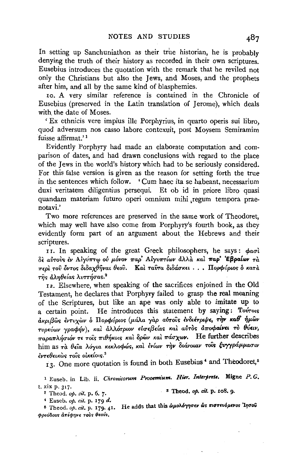In setting up Sanchuniathon as their true historian, he is probably denying the truth of their history as recorded in their own scriptures. Eusebius introduces the quotation with the remark that he reviled not only the Christians but also the Jews, and Moses, and the prophets after him, and all by the same kind of blasphemies.

10. A very similar reference is contained in the Chronicle of Eusebius (preserved in the Latin translation of Jerome), which deals with the date of Moses.

'Ex ethnicis vere impius ille Porphyrius, in quarto operis sui libro, quod adversum nos casso labore contexuit, post Moysem Semiramim fuisse affirmat.'<sup>1</sup>

Evidently Porphyry had made an elaborate computation and comparison of dates, and had drawn conclusions with regard to the place of the Jews in the world's history which had to be seriously considered. For this false version is given as the reason for setting forth the true in the sentences which follow. 'Cum haec ita se habeant, necessarium duxi veritatem diligentius persequi. Et ob id in priore libro quasi quandam materiam futuro operi omnium mihi regum tempora praenotavi.'

Two more references are preserved in the same work of Theodoret, which may well have also come from Porphyry's fourth book, as they evidently form part of an argument about the Hebrews and their scriptures.

II. In speaking of the great Greek philosophers, he says:  $\phi$ aoi δε αύτους εν Αίγύπτω ού μόνον παρ' Αίγυπτίων άλλα και παρ' Έβραίων τα περί του όντος διδαχθήναι θεου. Καί ταυτα διδάσκει... Πορφύριος δ κατά της άληθείας λυττήσας.<sup>2</sup>

12. Elsewhere, when speaking of the sacrifices enjoined in the Old Testament, he declares that Porphyry failed to grasp the real meaning of the Scriptures, but like an ape was only able to imitate up to a certain point. He introduces this statement by saying: Tovrous ακριβώς έντυχών ο Πορφύριος (μάλα γαρ αύτοις ένδιέτριψε, την καθ' ήμων τυρεύων γραφήν), και άλλότριον εύσεβείας και αύτος αποφαίνει το θύειν, παραπλήσιόν τε τοίς πιθήκοις και δρών και πάσχων. He further describes him as τα θεία λόγια κεκλοφώς, και ενίων την διάνοιαν τοίς ξυγγράμμασιν έντεθεικώς τοΐς οίκείοις.

13. One more quotation is found in both Eusebius<sup>4</sup> and Theodoret.<sup>5</sup>

<sup>1</sup> Euseb. in Lib. ii. Chronicorum Prooemium. Hier. Interprete. Migne P.G. t. xix p. 317.

<sup>3</sup> Theod. op. cit. p. 108. 9 <sup>2</sup> Theod. op. cit. p. 6. 7.

<sup>4</sup> Euseb. op. cit. p. 179 d.

He adds that this ώμολόγησεν ώς πιστευόμενος Ίησου <sup>5</sup> Theod. op. cit. p. 179. 41. φρούδους απέφηνε τους θεούς.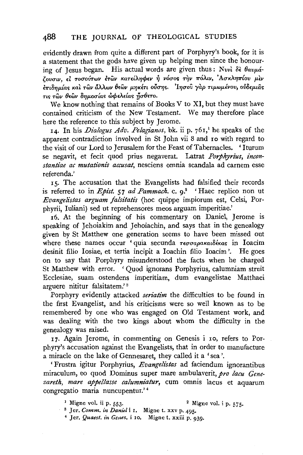evidently drawn from quite a different part of Porphyry's book, for it is a statement that the gods have given up helping men since the honouring of Jesus began. His actual words are given thus: Nuvì δε θαυμάζουσιν. εί τοσούτων έτων κατείληφεν ή νόσος την πόλιν, Ασκληπίου μεν έπιδημίας και των άλλων θεών μηκέτι ούσης. Ιησού γαρ τιμωμένου, ούδεμιας τις τῶν θεῶν δημοσίας ὦφελείας ήσθετο.

We know nothing that remains of Books V to XI, but they must have contained criticism of the New Testament. We may therefore place here the reference to this subject by Jerome.

14. In his *Dialogus Adv. Pelagianos*, bk. ii p. 761,<sup>1</sup> he speaks of the apparent contradiction involved in St John vii 8 and 10 with regard to the visit of our Lord to Jerusalem for the Feast of Tabernacles. 'Iturum se negavit, et fecit quod prius negaverat. Latrat Porphyrius, inconstantiae ac mutationis accusat, nesciens omnia scandala ad carnem esse referenda.'

15. The accusation that the Evangelists had falsified their records is referred to in Epist. 57 ad Pammach. c.  $q^2$  'Haec replico non ut Evangelistas arguam falsitatis (hoc quippe impiorum est, Celsi, Porphyrii, Iuliani) sed ut reprehensores meos arguam imperitiae.'

16. At the beginning of his commentary on Daniel, Jerome is speaking of Jehoiakim and Jehoiachin, and says that in the genealogy given by St Matthew one generation seems to have been missed out where these names occur ' quia secunda τεσσαρακαιδέκας in Ioacim desinit filio Iosiae, et tertia incipit a Ioachin filio Ioacim'. He goes on to say that Porphyry misunderstood the facts when he charged St Matthew with error. 'Quod ignorans Porphyrius, calumniam struit Ecclesiae, suam ostendens imperitiam, dum evangelistae Matthaei arguere nititur falsitatem.'<sup>3</sup>

Porphyry evidently attacked *seriatim* the difficulties to be found in the first Evangelist, and his criticisms were so well known as to be remembered by one who was engaged on Old Testament work, and was dealing with the two kings about whom the difficulty in the genealogy was raised.

17. Again Jerome, in commenting on Genesis i 10, refers to Porphyry's accusation against the Evangelists, that in order to manufacture a miracle on the lake of Gennesaret, they called it a 'sea'.

'Frustra igitur Porphyrius, Evangelistas ad faciendum ignorantibus miraculum, eo quod Dominus super mare ambulaverit, pro lacu Genezareth, mare appellasse calumniatur, cum omnis lacus et aquarum congregatio maria nuncupentur.'<sup>4</sup>

<sup>3</sup> Migne vol. ii p. 553.

<sup>2</sup> Migne vol. i p. 575.

<sup>3</sup> Jer. Comm. in Daniel i 1. Migne t. xxv p. 495.

<sup>4</sup> Jer. Quaest. in Genes. i 10. Migne t. xxiii p. 939.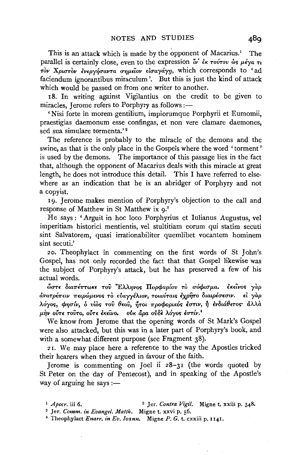This is an attack which is made by the opponent of Macarius.<sup>1</sup> The parallel is certainly close, even to the expression  $\ddot{\mathbf{w}}$  *ik to vitov*  $\dot{\mathbf{w}}$   $\mu \dot{\mathbf{e}}$   $\gamma a$   $\tau$ *T*ov Χριστον ενεργήσαντα σημείον εισαγάγη, which corresponds to 'ad faciendum ignorantibus miraculum '. But this is just the kind of attack which would be passed on from one writer to another.

18. In writing against Vigilantius on the credit to be given to miracles, Jerome refers to Porphyry as follows : $-$ 

'Nisi forte in morem gentilium, impiorumque Porphyrii et Eumomii, praestigias daemonum esse confingas, et non vere clamare daemones, sed sua simulare tormenta.'<sup>2</sup>

The reference is probably to the miracle of the demons and the swine, as that is the only place in the Gospels where the word ' torment ' is used by the demons. The importance of this passage lies in the fact that, although the opponent of Macarius deals with this miracle at great length, he does not introduce this detail. This I have referred to elsewhere as an indication that he is an abridger of Porphyry and not a copyist.

19. Jerome makes mention of Porphyry's objection to the call and response of Matthew in St Matthew ix 9.3

He says : 'Arguit in hoc loco Porphyrius et Iulianus Augustus, vel imperitiam historici mentientis, vel stultitiam eorum qui statim secuti sint Salvatorem, quasi irrationabiliter quemlibet vocantem hominem sint secuti.'

*zo.* Theophylact in commenting on the first words of St John's Gospel, has not only recorded the fact that that Gospel likewise was the subject of Porphyry's attack, but he has preserved a few of his actual words.

*i!Ju'TE Sta7rf7r'TWKE 'TOV .EAAYJVO!; ITopcpvplov 'TO uocpLUfta. EKELVOS yap*   $d$ νατρέπειν πειρώμενος το εύαγγέλιον, τοιαύταις έχρητο διαιρέσεσιν. *εί γαρ* li.Oyos, *cp7Ju{v,* o *vios 'TOV 8EOv,* ~'TO£ *7rpocpoptKOS £UTLV,* ~ *£v8ta8E'TOS" aAAa*   $\mu \dot{\eta}$ ν ούτε τούτο, ούτε έκείνο. *Ούκ άρα ούδε λόγος έστίν.*<sup>4</sup>

We know from Jerome that the opening words of St Mark's Gospel were also attacked, but this was in a later part of Porphyry's book, and with a somewhat different purpose (see Fragment 38).

*zr.* We may place here a reference to the way the Apostles tricked their hearers when they argued in favour of the faith.

Jerome is commenting on Joel ii 28-31 (the words quoted by St Peter on the day of Pentecost), and in speaking of the Apostle's way of arguing he says: $-$ 

<sup>1</sup>*Apocr.* iii 6. 2 Jer. *Contra Vigil.* Migne t. xxiii p. 348. 3 Jer. *Comm. in Evangel. Matth.* Migne t. xxvi p. 56. 4 Theophylact *Enarr. in Ev. lor1nn.* Migne *P. G.* t. cxxiii p. 1141.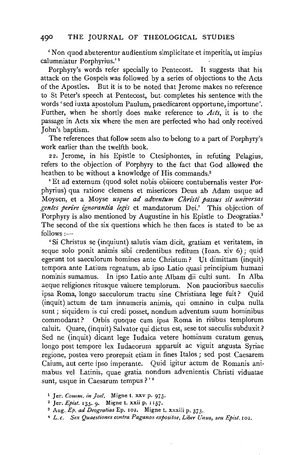'Non quod abuterentur audientium simplicitate et imperitia, ut impius calumniatur Porphyrius.' 1

Porphyry's words refer specially to Pentecost. It suggests that his attack on the Gospels was followed by a series of objections to the Acts of the Apostles. But it is to be noted that Jerome makes no reference to St Peter's speech at Pentecost, but. completes his sentence with the words' sed iuxta apostolum Paulum, praedicarent opportune, importune'. Further, when he shortly does make reference to *Acts,* it is to the passage in Acts xix where the men are perfected who had only received John's baptism.

The references that follow seem also to belong to a part of Porphyry's work earlier than the twelfth book.

22. Jerome, in his Epistle to Ctesiphontes, in refuting Pelagius, refers to the objection of Porphyry to the fact that God allowed the heathen to be without a knowledge of His commands.<sup>2</sup>

'Et ad externum (quod solet nobis obiicere contubernalis vester Porphyrins) qua ratione clemens et misericors Deus ab Adam usque ad Moysen, et a Moyse *usque ad adventum Christi passus sit universas gentes perire ignorantia legis* et mandatorum Dei.' This objection of Porphyry is also mentioned by Augustine in his Epistle to Deogratias.<sup>3</sup> The second of the six questions which he then faces is stated to be as  $follows:$ 

'Si Christus se (inquiunt) salutis viam dicit, gratiam et veritatem, in segue solo ponit animis sibi credentibus reditum (loan. xiv 6); quid egerunt tot saeculorum homines ante Christum? Ut dimittam (inquit) tempora ante Latium regnatum, ab ipso Latio quasi principium humani nominis sumamus. In ipso Latio ante Albam dii culti sunt. In Alba aeque religiones ritusque valuere templorum. Non paucioribus saeculis ipsa Roma, Iongo saeculorum tractu sine Christiana lege fuit? Quid (inquit) actum de tam innumeris animis, qui omnino in culpa nulla sunt; siquidem is cui credi posset, nondum adventum suum hominibus commodarat? Orbis quoque cum ipsa Roma in ritibus templorum caluit. Quare, (inquit) Salvator qui dictus est, sese tot saeculis subduxit? Sed ne (inquit) dicant lege Iudaica vetere hominum curatum genus, Iongo post tempore lex Iudaeorum apparuit ac viguit angusta Syriae regione, postea vero prorepsit etiam in fines Italos ; sed post Caesarem Caium, aut certe ipso imperante. Quid igitur actum de Romanis animabus vel Latinis, quae gratia nondum advenientis Christi viduatae sunt, usque in Caesarum tempus ?'<sup>4</sup>

<sup>1</sup> Jer. *Comm. in Joel,* Migne t. xxv p. *975·* 

<sup>2</sup> Jer. *Epist.* 133. 9· Migne t. xxii p. 1157.

s Aug. *Ep. ad Deogratias* Ep. 102. Migne t. xxxiii p. 373·

<sup>4</sup> *L. c. Sex Quaestiones contra Paganos expositae, Liber Unus, seu Epist.* 102.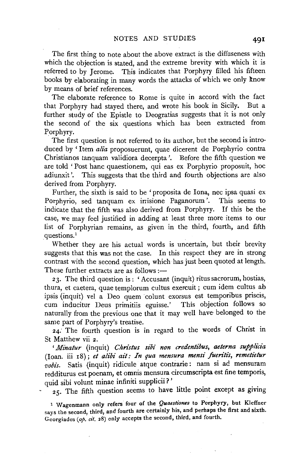The first thing to note about the above extract is the diffuseness with which the objection is stated, and the extreme brevity with which it is referred to by Jerome. This indicates that Porphyry filled his fifteen books by elaborating in many words the attacks of which we only know by means of brief references.

The elaborate reference to Rome is quite in accord with the fact that Porphyry had stayed there, and wrote his book in Sicily. But a further study of the Epistle to Deogratias suggests that it is not only the second of the six questions which has been extracted from Porphyry.

The first question is not referred to its author, but the second is introduced by 'Item *alia* proposuerunt, quae dicerent de Porphyrio contra Christianos tanquam validiora decerpta '. Before the fifth question we are told ' Post hanc quaestionem, qui eas ex Porphyrio proposuit, hoc adiunxit '. This suggests that the third and fourth objections are also derived from Porphyry.

Further, the sixth is said to be ' proposita de Iona, nec ipsa quasi ex Porphyrio, sed tanquam ex irrisione Paganorum'. This seems to indicate that the fifth was also derived from Porphyry. If this be the case, we may feel justified in adding at least three more items to our list of Porphyrian remains, as given in the third, fourth, and fifth questions.<sup>1</sup>

Whether they are his actual words is uncertain, but their brevity suggests that this was not the case. In this respect they are in strong contrast with the second question, which has just been quoted at length. These further extracts are as follows :-

2J. The third question is: 'Accusant (inquit) ritus sacrorum, hostias, thura, et caetera, quae templorum cultus exercuit ; cum idem cultus ab ipsis (inquit) vel a Deo quem colunt exorsus est temporibus priscis, cum inducitur Deus primitiis eguisse.' This objection follows so naturally from the previous one that it may well have belonged to the same part of Porphyry's treatise.

*24:* The fourth question is in regard to the words of Christ in St Matthew vii 2.

*'Minatur* (inquit) *Christus sibi non credentibus, aeterna suppli'cia*  (loan. iii r8); *et alibi ait: In qua mensura mensi fuen"tis, remetietur*  vobis. Satis (inquit) ridicule atque contrarie: nam si ad mensuram redditurus est poenam, et omnis mensura circumscripta est fine temporis, quid sibi volunt minae infiniti supplicii?'

25. The fifth question seems to have little point except as giving

1 Wagenmann only refers four of the *Quaestiones* to Porphyry, but Kleffner says the second, third, and fourth are certainly his, and perhaps the first and sixth. Georgiades *(op. cit.* 28) only accepts the second, third, and fourth.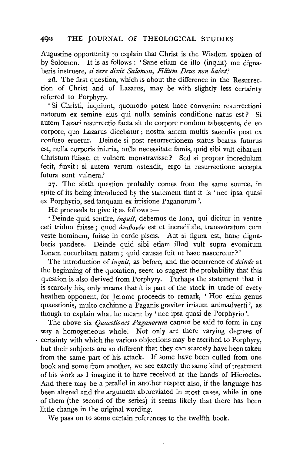Augustine opportunity to explain that Christ is the Wisdom spoken of by Solomon. It is as follows : 'Sane etiam de illo (inquit) me dignaberis instruere, *si vere dixit Salomon, Filium Deus non habet.'* 

26. The first question, which is about the difference in the Resurrection of Christ and of Lazarus, may be with slightly less certainty referred to Porphyry.

' Si Christi, inquiunt, quomodo potest haec convenire resurrectioni natorum ex semine eius qui nulla seminis conditione natus est ? Si autem Lazari resurrectio facta sit de corpore nondum tabescente, de eo corpore, quo Lazarus dicebatur; nostra autem multis saeculis post ex confuso eruetur. Deinde si post resurrectionem status beatus futurus est, nulla corporis iniuria, nulla necessitate famis, quid sibi vult cibatum Christum fuisse, et vulnera monstravisse? Sed si propter incredulum fecit, finxit : si autem verum ostendit, ergo in resurrectione accepta futura sunt vulnera.'

27. The sixth question probably comes from the same source, in spite of its being introduced by the statement that it is 'nec ipsa quasi ex Porphyrio, sed tanquam ex irrisione Paganorum '.

He proceeds to give it as follows :-

' Deinde quid sentire, *inquit*, debemus de Iona, qui dicitur in ventre ceti triduo fuisse; quod  $\frac{\partial \pi}{\partial q}$  est et incredibile, transvoratum cum veste hominem, fuisse in corde piscis. Aut si figura est, hanc dignaberis pandere. Deinde quid sibi etiam illud vult supra evomitum Ionam cucurbitam natam; quid causae fuit ut haec nasceretur?'

The introduction of *inquit,* as before, and the occurrence of *deinde* at the beginning of the quotation, seem to suggest the probability that this question is also derived from Porphyry. Perhaps the statement that it is scarcely his, only means that it is part of the stock in trade of every heathen opponent, for Jerome proceeds to remark, ' Hoc enim genus quaestionis, multo cachinno a Paganis graviter irrisum animadverti ', as though to explain what he meant by ' nee ipsa quasi de Porphyrio '.

The above six *Quaestiones Paganorum* cannot be said to form in any way a homogeneous whole. Not only are there varying degrees of certainty with which the various objections may be ascribed to Porphyry, but their subjects are so different that they can scarcely have been taken from the same part of his attack. If some have been culled from one book and some from another, we see exactly the same kind of treatment of his work as I imagine it to have received at the hands of Hierocles. And there may be a parallel in another respect also, if the language has been altered and the argument abbreviated in most cases, while in one of them (the second of the series) it seems likely that there has been little change in the original wording.

We pass on to some certain references to the twelfth book.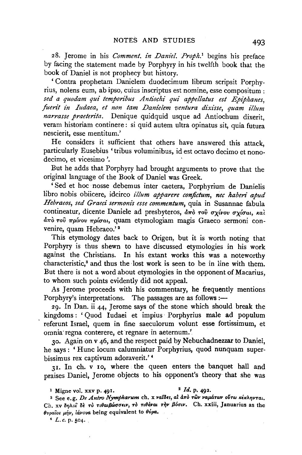28. Jerome in his *Comment. in Daniel. Proph*.<sup>1</sup> begins his preface by facing the statement made by Porphyry in his twelfth book that the book of Daniel is not prophecy but history.

' Contra prophetam Danielem duodecimum librum scripsit Porphyrius, nolens eum, ab ipso, cuius inscriptus est nomine, esse compositum : sed a quodam qui temporibus Antiochi qui appellatus est Epiphanes. fuerit in Iudaea, et non tam Danielem ventura dixisse, quam illum *narrasse praeterita.* Denique quidquid usque ad Antiochum dixerit, veram historiam continere: si quid autem ultra opinatus sit, quia futura nescierit, esse mentitum.'

He considers it sufficient that others have answered this attack, particularly Eusebius 'tribus voluminibus, id est octavo decimo et nonodecimo, et vicesimo '.

But he adds that Porphyry had brought arguments to prove that the original language of the Book of Daniel was Greek.

'Sed et hoc nosse debemus inter caetera, Porphyrium de Danielis libro nobis obiicere, idcirco *illum apparere conjictum, nee haberi apud Hebraeos, sed Graeci sermonis esse commentum,* quia in Susannae fabula contineatur, dicente Daniele ad presbyteros,  $d\pi\delta$   $\tau$ ov  $\sigma$ *yívov*  $\sigma$ *yí* $\sigma$ *ai*, kat aπò του πρίνου πρίσαι, quam etymologiam magis Graeco sermoni convenire, quam Hebraeo.'<sup>2</sup>

This etymology dates back to Origen, but it is worth noting that Porphyry is thus shewn to have discussed etymologies in his work against the Christians. In his extant works this was a noteworthy characteristic,<sup>3</sup> and thus the lost work is seen to be in line with them. But there is not a word about etymologies in the opponent of Macarius, to whom such points evidently did not appeal.

As Jerome proceeds with his commentary, he frequently mentions Porphyry's interpretations. The passages are as follows :-

29· In Dan. ii 44, Jerome says of the stone which should break the kingdoms : ' Quod Iudaei et impius · Porphyrius male ad populum referunt Israel, quem in fine saeculorum volunt esse fortissimum, et omnia regna conterere, et regnare in aeternum.'

30. Again on v 46, and the respect paid by Nebuchadnezzar to Daniel, he says : 'Hunc locum calumniatur Porphyrius, quod nunquam superbissimus rex captivum adoraverit.' •

31. In ch. v 10, where the queen enters the banquet hall and praises Daniel, Jerome objects to his opponent's theory that she was

<sup>3</sup> See e.g. *De Antro Nympharum* ch. x vatoes, at από των ναμάτων ούτω κέκληνται. Ch. xv δηλοί δε το τιθαιβώσσειν, το τιθέναι την βόσιν. Ch. xxiii, Januarius as the 8vpa'ios f'~"• *lavova.* being equivalent to 9vpa. •

 $4 L.c. p. 504.$ 

<sup>&</sup>lt;sup>1</sup> Migne vol. xxv p. 491. <sup>2</sup> *Id.* p. 492.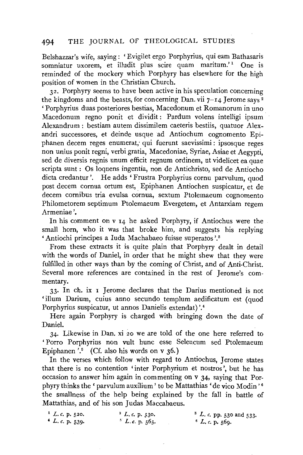Belshazzar's wife, saying: 'Evigilet ergo Porphyrius, qui eam Bathasaris somniatur uxorem, et illudit plus scire quam maritum.'<sup>1</sup> One is reminded of the mockery which Porphyry has elsewhere for the high position of women in the Christian Church.

32. Porphyry seems to have been active in his speculation concerning the kingdoms and the beasts, for concerning Dan. vii  $7-14$  Jerome says  $^{2}$ ' Porphyrius duas posteriores bestias, Macedonum et Romanorum in uno Macedonum regno ponit et dividit : Pardum volens intelligi insum Alexandrum : bestiam autem dissimilem caeteris bestiis, quatuor Alexandri successores, et deinde usque ad Antiochum cognomento Epiphanen decem reges enumerat; qui fuerunt saevissimi: ipsosque reges non unius ponit regni, verbi gratia, Macedoniae, Syriae, Asiae et Aegypti, sed de diversis regnis unum efficit regnum ordinem, ut videlicet ea quae scripta sunt : Os loquens ingentia, non de Antichristo, sed de Antiocho dicta credantur '. He adds 'Frustra Porphyrius cornu parvulum, quod post decem cornua ortum est, Epiphanen Antiochen suspicatur, et de decem cornibus tria evulsa cornua, sextum Ptolemaeum cognomento Philometorem septimum Ptolemaeum Evergetem, et Antarxiam regem Armeniae'.

In his comment on v 14 he asked Porphyry, if Antiochus were the small horn, who it was that broke him, and suggests his replying 'Antiochi principes a Iuda Machabaeo fuisse superatos'.<sup>3</sup>

From these extracts it is quite plain that Porphyry dealt in detail with the words of Daniel, in order that he might shew that they were fulfilled in other ways than by the coming of Christ, and of Anti-Christ. Several more references are contained in the rest of Jerome's commentary.

33· In ch. ix **1** Jerome declares that the Darius mentioned is not 'illum Darium, cuius anno secundo templum aedificatum est (quod Porphyrius suspicatur, ut annos Danielis extendat)'.<sup>4</sup>

Here again Porphyry is charged with bringing down the date of Daniel.

34· Likewise in Dan. xi 20 we are told of the one here referred to 'Porro Porphyrius non vult hunc esse Seleucum sed Ptolemaeum Epiphanen  $\cdot$ <sup>5</sup> (Cf. also his words on v 36.)

In the verses which follow with regard to Antiochus, Jerome states that there is no contention 'inter Porphyrium et nostros ', but he has occasion to answer him again in commenting on v 34, saying that Porphyry thinks the 'parvulum auxilium' to be Mattathias 'de vico Modin' 6 the smallness of the help being explained by the fall in battle of Mattathias, and of his son Judas Maccabaeus.

| 1 L. c. p. 520.    | 2 L.c. p. 530. | $^3$ L.c. pp. 530 and 533. |
|--------------------|----------------|----------------------------|
| $4 L$ , c, p, 539. | $L$ c. p. 565. | $^6$ L, c, p, 569.         |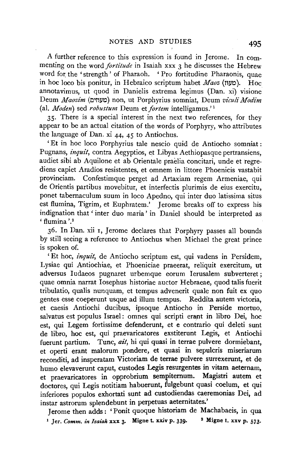A further reference to this expression is found in Jerome. In commenting on the word *fortitude* in Isaiah xxx 3 he discusses the Hebrew word for the 'strength' of Pharaoh. ' Pro fortitudine Pharaonis, quae in hoc loco bis ponitur, in Hebraico scriptum habet *Maoz* (t'l/0). Hoc annotavimus, ut quod in Danielis extrema legimus (Dan. xi) visione Deum *Maozim* (!:l'tlliO) non, ut Porphyrins somniat, Deum *viculi Modim*  (al. *Moden*) sed *robustum* Deum et *fortem* intelligamus.<sup>1</sup>

35· There is a special interest in the next two references, for they appear to be an actual citation of the words of Porphyry, who attributes the language of Dan. xi 44, 45 to Antiochus.

'Et in hoc loco Porphyrins tale nescio quid de Antiocho somniat : Pugnans, *inquit,* contra Aegyptios, et Libyas Aethiopasque pertransiens, audiet sibi ab Aquilone et ab Orientale praeiia concitari, unde et regrediens capiet Aradios resistentes, et omnem in littore Phoenicis vastabit provinciam. Confestimque perget ad Artaxiam regem Armeniae, qui de Orientis partibus movebitur, et interfectis plurimis de eius exercitu, ponet tabemaculum suum in loco Apedno, qui inter duo latissima situs est flumina, Tigrim, et Euphratem.' Jerome breaks off to express his indignation that 'inter duo maria' in Daniel should be interpreted as  $'$ flumina '.<sup>2</sup>

36. In Dan. xii I, Jerome declares that Porphyry passes all bounds by still seeing a reference to Antiochus when Michael the great prince is spoken of.

'Et hoc, *inquit,* de Antiocho scriptum est, qui vadens in Persidem, Lysiae qui Antiochiae, et Phoeniciae praeerat, reliquit exercitum, ut adversus Iudaeos pugnaret urbemque eorum Jerusalem subverteret; quae omnia narrat Josephus historiae auctor Hebraeae, quod talis fuerit tribulatio, qualis nunquam, et tempus advenerit quale non fuit ex quo gentes esse coeperunt usque ad ilium tempus. Reddita autem victoria, et caesis Antiochi ducibus, ipsoque Antiocho in Perside mortuo, salvatus est populus Israel: omnes qui scripti erapt in libro Dei, hoc est, qui Legem fortissime defenderunt, et e contrario qui deleti sunt de libro, hoc est, qui praevaricatores exstiterunt Legis, et Antiochi fuerunt partium. Tunc, *ait,* hi qui quasi in terrae pulvere dormiebant, et operti erant malorum pondere, et quasi in sepulcris miseriarum reconditi, ad insperatam Victoriam de terrae pulvere surrexerunt, et de humo elevaverunt caput, custodes Legis resurgentes in vitam aeternam, et praevaricatores in opprobrium sempiternum. Magistri autem et doctores, qui Legis notitiam habuerunt, fulgebunt quasi coelum, et qui inferiores populos exhortati sunt ad custodiendas caeremonias Dei, ad instar astrorum splendebunt in perpetuas aeternitates.'

Jerome then adds: 'Ponit quoque historiam de Machabaeis, in qua <sup>1</sup> Jer. *Comm. in Isaiah* xxx 3. Migne t. xxiv p. 339. <sup>2</sup> Migne t. xxv p. 573.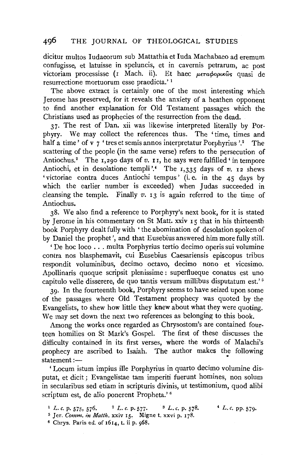dicitur multos Iudaeorum sub Mattathia et Iuda Machabaeo ad eremum confugisse, et latuisse in speluncis, et in cavernis petrarum, ac post victoriam processisse (1 Mach. ii). Et haec  $\mu \epsilon \tau a \phi o \rho \kappa \hat{\omega} s$  quasi de resurrectione mortuorum esse praedicta.' 1

The above extract is certainly one of the most interesting which Jerome has preserved, for it reveals the anxiety of a heathen opponent to find another explanation for Old Testament passages which the Christians used as prophecies of the resurrection from the dead.

37· The rest of Dan. xii was likewise interpreted literally by Porphyry. We may collect the references thus. The 'time, times and half a time ' of v  $\frac{1}{7}$  ' tres et semis annos interpretatur Porphyrius '.<sup>2</sup> The scattering of the people (in the same verse) refers to the persecution of Antiochus.<sup>2</sup> The 1,290 days of *v*. **11**, he says were fulfilled 'in tempore Antiochi, et in desolatione templi<sup>74</sup> The 1,335 days of *v.* 12 shews 'victoriae contra duces Antiochi tempus' (i.e. in the 45 days by which the earlier number is exceeded) when Judas succeeded in cleansing the temple. Finally  $v$ ,  $r_1$  is again referred to the time of Antiochus.

38. We also find a reference to Porphyry's next book, for it is stated by Jerome in his commentary on St Matt. xxiv 15 that in his thirteenth book Porphyry dealt fully with ' the abomination of desolation spoken of by Daniel the prophet', and that Eusebius answered him more fully still.

' De hoc loco ... multa Porphyrius tertio decimo operis sui volumine contra nos blasphemavit, cui Eusebius Caesariensis episcopus tribus respondit voluminibus, decimo octavo, decimo nono et vicesimo. Apollinaris quoque scripsit plenissime : superflueque conatus est uno capitulo velle disserere, de quo tantis versum millibus disputatum est.'<sup>5</sup>

39· In the fourteenth book, Porphyry seems to have seized upon some of the passages where Old Testament prophecy was quoted by the Evangelists, to shew how little they knew about what they were quoting. We may set down the next two references as belonging to this book.

Among the works once regarded as Chrysostom's are contained fourteen homilies on St Mark's Gospel. The first of these discusses the difficulty contained in its first verses, where the words of Malachi's prophecy are ascribed to Isaiah. The author makes the following  $statement :=$ 

'Locum istum impius ille Porphyrius in quarto decimo volumine disputat, et dicit; Evangelistae tam imperiti fuerunt homines, non solum in secularibus sed etiam in scripturis divinis, ut testimonium, quod alibi scriptum est, de alio ponerent Propheta.'<sup>6</sup>

<sup>1</sup> L. c. p. 575, 576. <sup>2</sup> L. c. p. 577. <sup>3</sup> L. c. p. 578. <sup>4</sup> L. c. pp. 579. <sup>5</sup> Jer. *Comm. in Matth.* xxiv 15. Migne t. xxvi p. 178.

6 Chrys. Paris ed. of 1614, t. ii p. 968.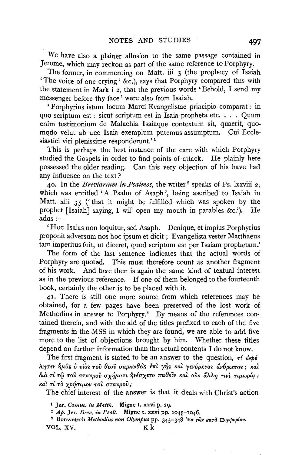We have also a plainer allusion to the same passage contained in Jerome, which may reckon as part of the same reference to Porphyry.

The former, in commenting on Matt. iii 3 (the prophecy of Isaiah 'The voice of one crying' &c.), says that Porphyry compared this with the statement in Mark i *z,* that the previous words 'Behold, I send my messenger before thy face ' were also from Isaiah.

' Porphyrins istum locum Marci Evangelistae principio comparat : in quo scriptum est : sicut scriptum est in Isaia propheta etc. . . . Quum enim testimonium de Malachia Isaiaque contextum sit, quaerit, quomodo velut ab uno Isaia exemplum putemus assumptum. Cui Ecclesiastici viri plenissime responderunt.<sup>'1</sup>

This is perhaps the best instance of the care with which Porphyry studied the Gospels in order to find points of·attack. He plainly here possessed the older reading. Can this very objection of his have had any influence on the text?

40. In the *Breviarium in Psalmos,* the writer 2 speaks of Ps. lxxviii *z,*  which was entitled 'A Psalm of Asaph ', being ascribed to Isaiah in Matt. xiii 35 ('that it might be fulfilled which was spoken by the prophet [Isaiah] saying, I will open my mouth in parables &c.'). He  $adds :=$ 

'Hoc Isaias non loquitur, sed Asaph. Denique, et impius Porphyrius proponit adversum nos hoc ipsum et dicit; Evangelista vester Matthaeus tam imperitus fuit, ut diceret, quod scriptum est per Isaiam prophetam.'

The form of the last sentence indicates that the actual words of Porphyry are quoted. This must therefore count as another fragment of his work. And here then is again the same kind of textual interest as in the previous reference. If one of them belonged to the fourteenth book, certainly the other is to be placed with it.

4r. There is still one more source from which references may be obtained, for a few pages have been preserved of the lost work of Methodius in answer to Porphyry.<sup>3</sup> By means of the references contained therein, and with the aid of the titles prefixed to each of the five fragments in the MSS in which they are found, we are able to add five more to the list of objections brought by him. Whether these titles depend on further information than the actual contents I do not know.

The first fragment is stated to be an answer to the question,  $\tau \ell \phi \phi \epsilon$ - $\lambda$ ησεν ήμας δ υίος του θεου σαρκωθείς έπι γης και γενόμενος άνθρωπος; και διά τί τῷ τοῦ σταυροῦ σχήματι ἠνέσχετο παθεῖν καὶ οὐκ ἄλλη τινὶ τιμωρία;  $κ$ αί τί τὸ χρήσιμον τοῦ σταυροῦ ;

The chief interest of the answer is that it deals with Christ's action

<sup>2</sup> Jer. *Comm. in Matth.* **Migne t. xxvi p. 29.** 2016.<br>
<sup>2</sup> Ap. Jer. *Brev. in Psalt.* Migne t. xxvi pp. 1045-1046. <br>
<sup>3</sup> Bonwetsch *Methodius von Olympus* pp. 345-348 'Ex *r*ων *κ*ατα Πορφυρίου. VOL. XV.  $Kk$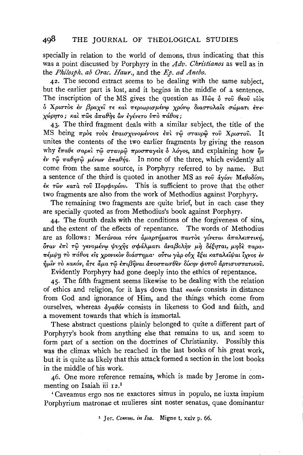specially in relation to the world of demons, thus indicating that this was a point discussed by Porphyry in the Adv. Christianos as well as in the Philosph. ab Orac. Haur., and the Ep. ad Anebo.

42. The second extract seems to be dealing with the same subject, but the earlier part is lost, and it begins in the middle of a sentence. The inscription of the MS gives the question as  $\Pi\hat{\omega}_{s}$   $\delta \tau$   $\sigma \hat{v}$   $\theta \epsilon \sigma \hat{v}$   $\nu \hat{i} \delta s$ δ Χριστός έν βραχεί τε και περιωρισμένω χρόνω διαστολαίς σώματι έπεχώρητο; και πως απαθής ων εγένετο ύπο πάθος;

43. The third fragment deals with a similar subject, the title of the MS being πρός τους επαισχυνομένους επί τω σταυρώ του Χριστού. It unites the contents of the two earlier fragments by giving the reason why έπαθε σαρκί τω σταυρώ προσπαγείς δ λόγος, and explaining how  $\hat{\eta}$ ν εν τω παθητώ μένων άπαθής. In none of the three, which evidently all come from the same source, is Porphyry referred to by name. But a sentence of the third is quoted in another MS as  $\tau \circ \hat{v}$   $\dot{\alpha} \gamma \dot{\omega} v$  Me $\theta \circ \delta \dot{\omega} v$ ,  $\epsilon$   $\kappa$   $\tau$ ων κατά του Πορφυρίου. This is sufficient to prove that the other two fragments are also from the work of Methodius against Porphyry.

The remaining two fragments are quite brief, but in each case they are specially quoted as from Methodius's book against Porphyry.

44. The fourth deals with the conditions of the forgiveness of sins, and the extent of the effects of repentance. The words of Methodius are as follows: Μετάνοια τότε άμαρτήματος παντός γίνεται άπαλειπτική, όταν έπι τω γενομένω ψυχής σφάλματι άναβολην μη δέξηται, μηδε παραπέμψη το πάθος είς χρονικον διάστημα· ούτω γαρ ούχ έξει καταλείψαι ίχνος εν ήμιν το κακόν, άτε άμα τω έπιβηναι άποσπασθεν δίκην φυτού άρτισυστατικού. Evidently Porphyry had gone deeply into the ethics of repentance.

45. The fifth fragment seems likewise to be dealing with the relation of ethics and religion, for it lays down that  $\kappa \alpha \kappa \omega \nu$  consists in distance from God and ignorance of Him, and the things which come from ourselves, whereas  $\frac{\partial y}{\partial \theta}$  consists in likeness to God and faith, and a movement towards that which is immortal.

These abstract questions plainly belonged to quite a different part of Porphyry's book from anything else that remains to us, and seem to form part of a section on the doctrines of Christianity. Possibly this was the climax which he reached in the last books of his great work. but it is quite as likely that this attack formed a section in the lost books in the middle of his work.

46. One more reference remains, which is made by Jerome in commenting on Isaiah iii 12.<sup>1</sup>

'Caveamus ergo nos ne exactores simus in populo, ne iuxta impium Porphyrium matronae et mulieres sint noster senatus, quae dominantur

<sup>1</sup> Jer. Comm. in Isa. Migne t. xxiv p. 66.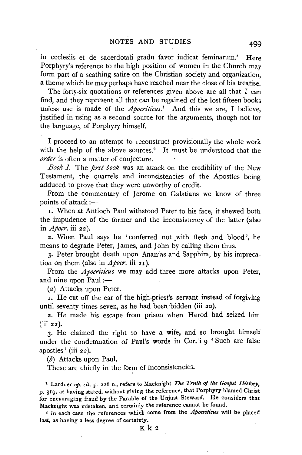in ecclesiis et de sacerdotali gradu favor iudicat feminarum.' Here Porphyry's reference to the high position of women in the Church may form part of a scathing satire on the Christian society and organization, a theme which he may perhaps have reached near the close of his treatise.

The forty-six quotations or references given above are all that I can find, and they represent all that can be regained of the lost fifteen books unless use is made of the *Apocriticus*.<sup>1</sup> And this we are, I believe, justified in using as a second source for the arguments, though not for the language, of Porphyry himself.

I proceed to an attempt to reconstruct provisionally the whole work with the help of the above sources.<sup>2</sup> It must be understood that the *order* is often a matter of conjecture.

*Book L* The *first book* was an attack on the credibility of the New Testament, the quarrels and inconsistencies of the Apostles being adduced to prove that they were unworthy of credit.

From the commentary of Jerome on Galatians we know of three points of attack  $:=$ 

I. When at Antioch Paul withstood Peter to his face, it shewed both the impudence of the former and the inconsistency of the latter (also in *Apocr.* iii 22).

2. When Paul says he 'conferred not with flesh and blood', he means to degrade Peter, James, and John by calling them thus.

3· Peter brought death upon Ananias and Sapphira, by his imprecation on them (also in A *pocr.* iii 21 ).

From the *Apocriticus* we may add three more attacks upon Peter, and nine upon Paul :-

(a) Attacks upon Peter.

1. He cut off the ear of the high-priest's servant instead of forgiving until seventy times seven, as he had been bidden (iii 20).

2. He made his escape from prison when Herod had seized him  $(iii 22)$ .

3. He claimed the right to have a wife, and so brought himself under the condemnation of Paul's words in Cor. i 9 'Such are false apostles' (iii 22).

(b) Attacks upon Paul.

These are chiefly in the form of inconsistencies.

<sup>1</sup> Lardner op. cit. p. 226 n., refers to Macknight *The Truth of the Gospel History*. p. 3r9, as having stated, without giving the reference, that Porphyry blamed Christ for encouraging fraud by the Parable of the Unjust Steward. He considers that Macknight was mistaken, and certainly the reference cannot be found.

2 In each case the references which come from the *Apocn'h'cus* will be placed last, as having a less degree of certainty.

Kk2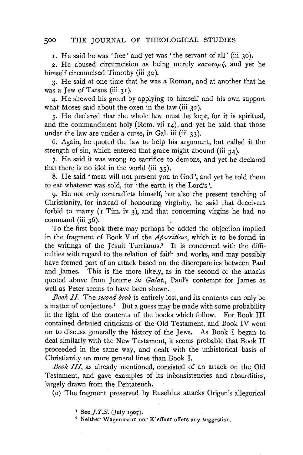r. He said he was 'free' and yet was 'the servant of all' (iii 30).

2. He abused circumcision as being merely  $\kappa a \tau a \tau o \mu \eta$ , and yet he himself circumcised Timothy (iii 30).

3· He said at one time that he was a Roman, and at another that he was a Jew of Tarsus (iii 31).

4· He shewed his greed by applying to himself and his own support what Moses said about the oxen in the law (iii  $32$ ).

5· He declared that the whole law must be kept, for it is spiritual, and the commandment holy (Rom. vii 14), and yet he said that those under the law are under a curse, in Gal. iii (iii 33).

6. Again, he quoted the law to help his argument, but called it the strength of sin, which entered that grace might abound (iii 34).

7· He said it was wrong to sacrifice to demons, and yet he declared that there is no idol in the world (iii 35).

8. He said 'meat will not present you to God', and yet he told them to eat whatever was sold, for 'the earth is the Lord's'.

9. He not only contradicts himself, but also the present teaching of Christianity, for instead of honouring virginity, he said that deceivers forbid to marry ( $\bar{x}$  Tim. iv 3), and that concerning virgins he had no command (iii 36).

To the first book there may perhaps be added the objection implied in the fragment of Book V of the *Apocriticus,* which is to be found in the writings of the Jesuit Turrianus.<sup>1</sup> It is concerned with the difficulties with regard to the relation of faith and works, and may possibly have formed part of an attack based on the discrepancies between Paul and James. This is the more likely, as in the second of the attacks quoted above from Jerome *in Galat.,* Paul's contempt for James as well as Peter seems to have been shewn.

*Book II.* The *second book* is entirely lost, and its contents can only be a matter of conjecture.<sup>2</sup> But a guess may be made with some probability in the light of the contents of the books which follow. For Book III contained detailed criticisms of the Old Testament, and Book IV went on to discuss generally the history of the Jews. As Book I began to deal similarly with the New Testament, it seems probable that Book II proceeded in the same way, and dealt with the unhistorical basis of Christianity on more general lines than Book I.

*Book III,* as already mentioned, consisted of an attack on the Old Testament, and gave examples of its inconsistencies and absurdities, largely drawn from the Pentateuch.

(a) The fragment preserved by Eusebius attacks Origen's allegorical

<sup>1</sup> See *J.T.S.* (July 1907).<br><sup>2</sup> Neither Wagenmann nor Kleffner offers any suggestion.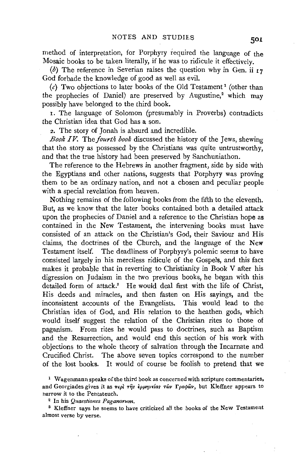method of interpretation, for Porphyry required the language of the Mosaic books to be taken literally, if he was to ridicule it effectively.

(b) The reference in Severian raises the question why in Gen. ii  $_17$ God forbade the knowledge of good as well as evil.

(c) Two objections to later books of the Old Testament<sup>1</sup> (other than the prophecies of Daniel) are preserved by Augustine,<sup>2</sup> which may possibly have belonged to the third book.

1. The language of Solomon (presumably in Proverbs) contradicts the Christian idea that God has a son.

2. The story of Jonah is absurd and incredible.

*Book IV.* The *fourth book* discussed the history of the Jews, shewing that the story as possessed by the Christians was quite untrustworthy, and that the true history had been preserved by Sanchuniathon.

The reference to the Hebrews in another fragment, side by side with the Egyptians and other nations, suggests that Porphyry was proving them to be an ordinary nation, and not a chosen and peculiar people with a special revelation from heaven.

Nothing remains of the following books from the fifth to the eleventh. But, as we know that the later books contained both a detailed attack upon the prophecies of Daniel and a reference to the Christian hope as contained in the New Testament, the intervening books must have consisted of an attack on the Christian's God, their Saviour and His claims, the doctrines of the Church, and the language of the New Testament itself. The deadliness of Porphyry's polemic seems to have consisted largely in his merciless ridicule of the Gospels, and this fact makes it probable that in reverting to Christianity in Book V after his digression on Judaism in the two previous books, he began with this detailed form of attack.<sup>3</sup> He would deal first with the life of Christ, His deeds and miracles, and then fasten on His sayings, and the inconsistent accounts of the Evangelists. This would lead to the Christian idea of God, and His relation to the heathen gods, which would itself suggest the relation of the Christian rites to those of paganism. From rites he would pass to doctrines, such as Baptism and the Resurrection, and would end this section of his work with objections to the whole theory of salvation through the Incarnate and Crucified Christ. The above seven topics correspond to the number of the lost books. It would of course be foolish to pretend that we

<sup>1</sup> Wagenmann speaks of the third book as concerned with scripture commentaries, and Georgiades gives it as  $\pi \epsilon \rho \partial \eta \gamma \partial \rho \partial \rho \partial \rho \partial \rho \partial \rho \partial \rho \partial \rho$ , but Kleffner appears to narrow it to the Pentateuch. 2 In his *Quaestiones Paganorum.* 

3 Kleffner says he seems to have criticized all the books of the New Testament almost verse by verse.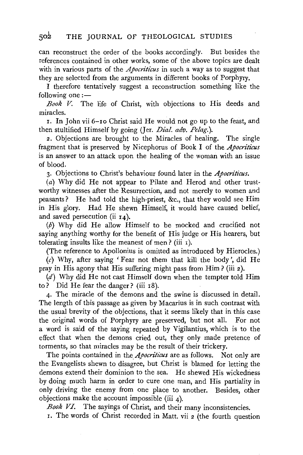can reconstruct the order of the books accordingly. But besides the references contained in other works, some of the above topics are dealt with in various parts of the *Apocriticus* in such a way as to suggest that they are selected from the arguments in different books of Porphyry.

I therefore tentatively suggest a reconstruction something like the following one  $:$   $-$ 

*Book V.* The life of Christ, with objections to His deeds and miracles.

r. In John vii 6-ro Christ said He would not go up to the feast, and then stultified Himself by going (Jer. *Dial. adv. Pelag.*).

2. Objections are brought to the Miracles of healing. The single fragment that is preserved by Nicephorus of Book I of the *Apocriticus* is an answer to an attack upon the healing of the woman with an issue of blood.

3· Objections to Christ's behaviour found later in the *Apocn'ticus.* 

(a) Why did He not appear to Pilate and Herod and other trustworthy witnesses after the Resurrection, and not merely to women and peasants? He· had told the high-priest, &c., that they would see Him in His glory. Had He shewn Himself, it would have caused belief, and saved persecution (ii 14).

(b) Why did He allow Himself to be mocked and crucified not saying anything worthy for the benefit of His judge or His hearers, but tolerating insults like the meanest of men ? (iii r ).

(The reference to Apollonius is omitted as introduced by Hierocles.)

 $(c)$  Why, after saying 'Fear not them that kill the body', did He pray in His agony that His suffering might pass from Him? (iii 2).

 $(d)$  Why did He not cast Himself down when the tempter told Him to? Did He fear the danger? (iii r8).

4· The miracle of the demons and the swine is discussed in detail. The length of this passage as given by Macarius is in such contrast with the usual brevity of the objections, that it seems likely that in this case the original words of Porphyry are preserved, but not all. For not a word is said of the saying repeated by Vigilantius, which is to the effect that when the demons cried out, they only made pretence of torments, so that miracles may be the result of their trickery.

The points contained in the *Apocriticus* are as follows. Not only are the Evangelists shewn to disagree, but Christ is blamed for letting the demons extend their dominion to the sea. He shewed His wickedness by doing much harm in order to cure one man, and His partiality in only driving the enemy from one place to another. Besides, other objections make the account impossible (iii 4).

*Book VI.* The sayings of Christ, and their many inconsistencies.

I. The words of Christ recorded in Matt. vii 2 (the fourth question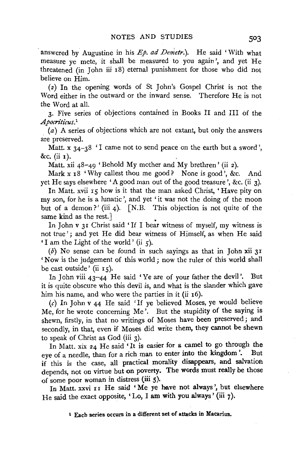answered by Augustine in his *Ep. ad Demetr.*). He said 'With what measure ye mete, it shall be measured to you again', and yet He threatened (in John iii 18) eternal punishment for those who did not believe on Him.

( 2) In the opening words of St John's Gospel Christ is not the Word either in the outward or the inward sense. Therefore He is not the Word at all.

3· Five series of objections contained in Books II and III of the *Apocriticus.*<sup>1</sup>

 $(a)$  A series of objections which are not extant, but only the answers are preserved.

Matt.  $x$  34-38  $\cdot$  I came not to send peace on the earth but a sword'. &c. (ii I).

Matt. xii 48-49 'Behold My mother and My brethren' (ii 2).

Mark x  $18$  'Why callest thou me good? None is good', &c. And yet He says elsewhere 'A good man out of the good treasure', &c. (ii 3).

In Matt. xvii 15 how is it that the man asked Christ, 'Have pity on my son, for he is a lunatic ', and yet 'it was not the doing of the moon but of a demon?' (iii 4). [N.B. This objection is not quite of the same kind as the rest.]

In John v 31 Christ said 'If I bear witness of myself, my witness is not true' ; and yet He did bear witness of Himself, as when He said 'I am the Light of the world' (ii 5).

 $(b)$  No sense can be found in such sayings as that in John xii 31 'Now is the judgement of this world; now the ruler of this world shall be cast outside' (ii  $r = 5$ ).

In John viii 43-44 He said 'Ye are of your father the devil'. But it is quite obscure who this devil is, and what is the slander which gave him his name, and who were the parties in it (ii  $16$ ).

(c) In John v 44 He said 'If ye believed Moses, ye would believe Me, for he wrote concerning Me '. But the stupidity of the saying is shewn, firstly, in that no writings of Moses have been preserved; and secondly, in that, even if Moses did write them, they cannot be shewn to speak of Christ as God (iii 3).

In Matt. xix 24 He said 'It is easier for a camel to go through the eye of a needle, than for a rich man to enter into the kingdom'. But if this is the case, all practical morality disappears, and salvation depends, not on virtue but on poverty. The words must really be those of some poor woman in distress (iii 5).

In Matt. xxvi II He said 'Me ye have not always', but elsewhere He said the exact opposite, 'Lo, I am with you always' (iii 7).

1 Each series occurs in a different set of attacks in Macarius.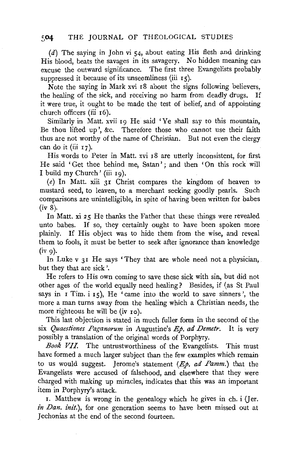$(d)$  The saying in John vi 54, about eating His flesh and drinking His blood, beats the savages in its savagery. No hidden meaning can excuse the outward significance. The first three Evangelists probably suppressed it because of its unseemliness (iii  $15$ ).

Note the saying in Mark xvi I8 about the signs following believers, the healing of the sick, and receiving no harm from deadly drugs. If it were true, it ought to be made the test of belief, and of appointing church officers (iii I6).

Similarly in Matt. xvii I9 He said 'Ye shall say to this mountain, Be thou lifted up', &c. Therefore those who cannot use their faith thus are not worthy of the name of Christian. But not even the clergy can do it (iii  $17$ ).

His words to Peter in Matt. xvi I8 are utterly inconsistent, for first He said ' Get thee behind me, Satan' ; and then 'On this rock will I build my Church' (iii  $I_9$ ).

(e) In Matt. xiii  $3I$  Christ compares the kingdom of heaven to mustard seed, to leaven, to a merchant seeking goodly pearls. Such comparisons are unintelligible, in spite of having been written for babes (iv 8).

In Matt. xi 25 He thanks the Father that these things were revealed unto babes. If so, they certainly ought to have been spoken more plainly. If His object was to hide them from the wise, and reveal them to fools, it must be better to seek after ignorance than knowledge  $(iv \theta)$ .

In Luke v 31 He says 'They that are whole need not a physician, but they that are sick'.

He refers to His own coming to save these sick with sin, but did not other ages of the world equally need healing? Besides, if (as St Paul says in  $\bar{I}$  Tim. i  $\bar{I}$ <sub>5</sub>), He 'came into the world to save sinners', the more a man turns away from the healing which a Christian needs, the more righteous he will be (iv Io).

This last objection is stated in much fuller form in the second of the six *Quaestiones Faganorum* in Augustine's Ep. *ad Demetr.* It is very possibly a translation of the original words of Porphyry.

*Book VII.* The untrustworthiness of the Evangelists. This must have formed a much larger subject than the few examples which remain to us would suggest. Jerome's statement (Ep. *ad Famm.)* that the Evangelists were accused of falsehood, and elsewhere that they were charged with making up miracles, indicates that this was an important item in Porphyry's attack.

r. Matthew is wrong in the genealogy which he gives in ch. i (Jer. *in Dan. init.),* for one generation seems to have been missed out at Jechonias at the end of the second fourteen.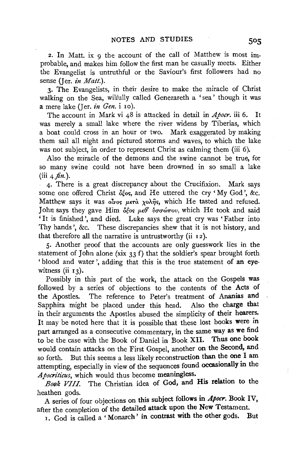2. In Matt. ix 9 the account of the call of Matthew is most improbable, and makes him follow the first man he casually meets. Either the Evangelist is untruthful or the Saviour's first followers had no sense (Jer. *in Matt.*).

3· The Evangelists, in their desire to make the miracle of Christ walking on the Sea, wilfully called Genezareth a 'sea' though it was a mere lake (Jer. *in Gen.* i 10).

The account in Mark vi 48 is attacked in detail in *Apocr.* iii 6. It was merely a small lake where the river widens by Tiberias, which a boat could cross in an hour or two. Mark exaggerated by making them sail all night and pictured storms and waves, to which the lake was not subject, in order to represent Christ as calming them (iii 6).

Also the miracle of the demons and the swine cannot be true, for so many swine could not have been drowned in so small a lake  $(iii \, 4 \, \text{fin.}).$ 

4· There is a great discrepancy about the Crucifixion. Mark says some one offered Christ  $\delta \xi$ os, and He uttered the cry 'My God', &c. Matthew says it was *olvos μετά χολής*, which He tasted and refused. John says they gave Him  $\delta \xi$ os  $\mu \epsilon \theta$  *v* $\sigma \omega \pi \nu$ , which He took and said 'It is finished', and died. Luke says the great cry was 'Father into Thy hands', &c. These discrepancies shew that it is not history, and that therefore all the narrative is untrustworthy (ii 12).

S· Another proof that the accounts are only guesswork lies in the statement of John alone (xix 33 f) that the soldier's spear brought forth 'blood and water', adding that this is the true statement of an eyewitness  $(ii_13)$ .

Possibly in this part of the work, the attack on the Gospels was followed by a series of objections to the contents of the Acts of the Apostles. The reference to Peter's treatment of Ananias and Sapphira might be placed under this head. Also the charge that in their arguments the Apostles abused the simplicity of their hearers. It may be noted here that it is possible that these lost books were in part arranged as a consecutive commentary, in the same way as we find to be the case with the Book of Daniel in Book XII. Thus one book would contain attacks on the First Gospel, another on the Second, and so forth. But this seems a less likely reconstruction than the one I am attempting, especially in view of the sequences found occasionally in the Apocriticus, which would thus become meaningless.

*Book VIII.* The Christian idea of God, and His relation to the heathen gods.

A series of four objections on this subject follows in *Apocr.* Book IV, after the completion of the detailed attack upon the New Testament.

1. God is called a 'Monarch' in contrast With the other gods. But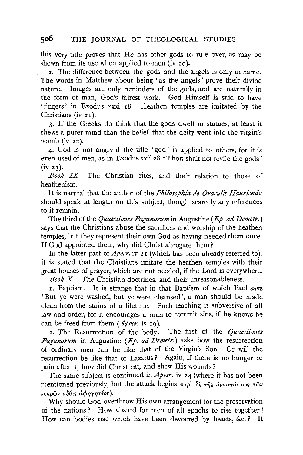this very title proves that He has other gods to rule over, as may be shewn from its use when applied to men (iv  $20$ ).

2. The difference between the gods and the angels is only in name. The words in Matthew about being 'as the angels ' prove their divine nature. Images are only reminders of the gods, and are naturally in the form of man, God's fairest work. God Himself is said to have 'fingers' in Exodus xxxi I8. Heathen temples are imitated by the Christians (iv 21).

3· If the Greeks do think that the gods dwell in statues, at least it shews a purer mind than the belief that the deity went into the virgin's womb (iv  $22$ ).

4· God is not angry if the title 'god' is applied to others, for it is even used of men, as 'in Exodus xxii 28 'Thou shalt not revile the gods' (iv 23).

*Book IX.* The Christian rites, and their relation to those of heathenism.

It is natural that the author of the *Philosophia de Oraculis Haurienda* should speak at length on this subject, though scarcely any references to it remain.

The third of the *Quaestiones Paganorum* in Augustine *(Ep. ad Demetr.)*  says that the Christians abuse the sacrifices and worship of the heathen temples, but they represent their own God as having needed them once. If God appointed them, why did Christ abrogate them?

In the latter part of *Apocr*. iv 21 (which has been already referred to), it is stated that the Christians imitate the heathen temples with their great houses of prayer, which are not needed, if the Lord is everywhere.

*Book* X. The Christian doctrines, and their unreasonableness.

I. Baptism. It is strange that in that Baptism of which Paul says 'But ye were washed, but ye were cleansed', a man should be made clean from the stains of a lifetime. Such teaching is subversive of all law and order, for it encourages a man to commit sins, if he knows he can be freed from them *(Apocr.* iv Ig).

2. The Resurrection of the body. The first of the *Quaestiones Paganorum* in Augustine *(Ep. ad Demetr.)* asks how the resurrection of ordinary men can be like that of the Virgin's Son. Or will the resurrection be like that of Lazarus ? Again, if there is no hunger or pain after it, how did Christ eat, and shew His wounds ?

The same subject is continued in *Apocr*. iv 24 (where it has not been mentioned previously, but the attack begins  $\pi \epsilon \rho \hat{i} \, \delta \hat{\epsilon} \, \tau \hat{\eta} s \, \dot{\alpha} \nu \alpha \sigma \tau \dot{\alpha} \sigma \epsilon \omega s \, \tau \hat{\omega} \nu$  $\nu$ εκρών αύθις άφηγητέον).

Why should God overthrow His own arrangement for the preservation of the nations? How absurd for men of all epochs to rise together ! How can bodies rise which have been devoured by beasts, &c. ? It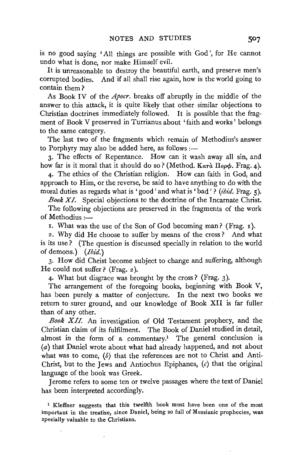is no good saying 'All things are possible with 'God', for He cannot undo what is done, nor make Himself evil.

It is unreasonable to destroy the beautiful earth, and preserve men's corrupted bodies. And if all shall rise again, how is the world going to contain them ?

As Book IV of the *Apocr.* breaks off abruptly in the middle of the answer to this attack, it is quite likely that other similar objections to Christian doctrines immediately followed. It is possible that the fragment of Book V preserved in Turrianus about 'faith and works ' belongs to the same category.

The last two of the fragments which remain of Methodius's answer to Porphyry may also be added here, as follows : $\leftarrow$ 

3· The effects of Repentance. How can it wash away all sin, and how far is it moral that it should do so? (Method.  $K a\tau a \Pi_{0\rho}\phi$ . Frag. 4).

4· The ethics of the Christian religion. How can faith in God, and approach to Him, or the reverse, be said to have anything to do with the moral duties as regards what is 'good' and what is' bad'? *(ibid.* Frag. 5).

*Book XI.* Special objections to the doctrine of the Incarnate Christ.

The following objections are preserved in the fragments of the work of Methodius  $:=$ 

I. What was the use of the Son of God becoming man? (Frag. I).

2. Why did He choose to suffer by means of the cross? And what is its use? (The question is discussed specially in relation to the world of demons.) *(Ibid.)* 

3· How did Christ become subject to change and suffering, although He could not suffer? (Frag. 2 ).

4· What but disgrace was brought by the cross? (Frag. 3).

The arrangement of the foregoing books, beginning with Book V, has been purely a matter of conjecture. In the next two books we return to surer ground, and our knowledge of Book XII is far fuller than of any other.

*Book XII.* An investigation of Old Testament prophecy, and the Christian claim of its fulfilment. The Book of Daniel studied in detail, almost in the form of a commentary.<sup>1</sup> The general conclusion is (a) that Daniel wrote about what had already happened, and not about what was to come,  $(b)$  that the references are not to Christ and Anti-Christ, but to the Jews and Antiochus Epiphanes,  $(c)$  that the original language of the book was Greek.

Jerome refers to some ten or twelve passages where the text of Daniel has been interpreted accordingly.

<sup>1</sup> Kleffner suggests that this twelfth book must have been one of the most important in the treatise, since Daniel, being so full of Messianic prophecies, was specially valuable to the Christians.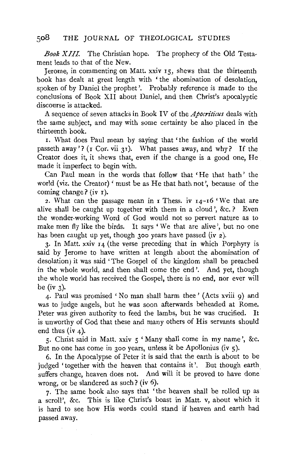*Book XIII.* The Christian hope. The prophecy of the Old Testament leads to that of the New.

Jerome, in commenting on Matt. xxiv 15, shews that the thirteenth book has dealt at great length with ' the abomination of desolation, spoken of by Daniel the prophet'. Probably reference is made to the conclusions of Book XII about Daniel, and then Christ's apocalyptic discourse is attacked.

A sequence of seven attacks in Book IV of the *Apocriticus* deals with the same subject, and may with some certainty be also placed in the thirteenth book.

r. What does Paul mean by saying that 'the fashion of the world passeth away'? (r Cor. vii 31). What passes away, and why? If the Creator does it, it shews that, even if the change is a good one, He made it imperfect to begin with.

Can Paul mean in the words that follow that 'He that hath' the world (viz. the Creator)' must be as He that hath not', because of the coming change? (iv r).

2. What can the passage mean in r Thess. iv 14-16 'We that are alive shall be caught up together with them in a cloud', &c. ? Even the wonder-working Word of God would not so pervert nature as to make men fly like the birds. It says ' We that are alive', but no one has been caught up yet, though 300 years have passed (iv 2).

3. In Matt. xxiv 14 (the verse preceding that in which Porphyry is said by Jerome to have written at length about the abomination of desolation) it was said ' The Gospel of the kingdom shall be preached in the whole world, and then shall come the end'. And yet, though the whole world has received the Gospel, there is no end, nor ever will be (iv  $3$ ).

4· Paul was promised 'No man shall harm thee' (Acts xviii 9) and was to judge angels, but he was soon afterwards beheaded at Rome. Peter was given authority to feed the lambs, but he was crucified. It is unworthy of God that these and many others of His servants should end thus (iv 4).

5· Christ said in Matt. xxiv 5 'Many shall come in my name', &c. But no one has come in 300 years, unless it be Apollonius (iv 5).

6. In the Apocalypse of Peter it is said that the earth is about to be judged 'together with the heaven that contains it'. But though earth suffers change, heaven does not. And will it be proved to have done wrong, or be slandered as such? (iv 6).

7· The same book also says that 'the heaven shall be rolled up as a scroll', &c. This is like Christ's boast in Matt. v, about which it is hard to see how His words could stand if heaven and earth had passed away.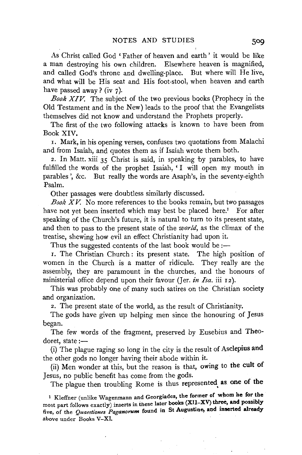As Christ called God 'Father of heaven and earth' it would be like a man destroying his own children. Elsewhere heaven is magnified, and called God's throne and dwelling-place. But where will He live, and what will be His seat and His foot-stool, when heaven and earth have passed away  $\frac{1}{r}$  (iv 7).

*Book XIV.* The subject of the two previous books (Prophecy in the Old Testament and in the New) leads to the proof that the Evangelists themselves did not know and understand the Prophets properly.

The first of the two following attacks is known to have been from Book XIV.

1. Mark, in his opening verses, confuses two quotations from Malachi and from Isaiah, and quotes them as if Isaiah wrote them both.

2. In Matt. xiii 35 Christ is said, in speaking by parables, to have fulfilled the words of the prophet Isaiah, 'I will open my mouth in parables ', &c. But really the words are Asaph's, in the seventy-eighth Psalm.

Other passages were doubtless similarly discussed.

*Book XV.* No more references to the books remain, but two passages have not yet been inserted which may best be placed here.<sup>1</sup> For after speaking of the Church's future, it is natural to turn to its present state, and then to pass to the present state of the *world,* as the climax of the treatise, shewing how evil an effect Christianity had upon it.

Thus the suggested contents of the last book would be :-

I. The Christian Church : its present state. The high position of women in the Church is a matter of ridicule. They really are the assembly, they are paramount in the churches, and the honours of ministerial office depend upon their favour (Jer. *in Isa.* iii 12).

This was probably one of many such satires on the Christian society and organization.

2. The present state of the world, as the result of Christianity.

The gods have given up helping men since the honouring of Jesus began.

The few words of the fragment, preserved by Eusebius and Theodoret, state  $:=$ 

(i) The plague raging so long in the city is the result of Asclepius and the other gods no longer having their abode within it.

(ii) Men wonder at this, but the reason is that, owing to the cult of Jesus, no public benefit has come from the gods.

The plague then troubling Rome is thus represented, as one of the

1 Kleffner (unlike Wagenmann and Georgiades, the former of whom he for the most part follows exactly) inserts in these later books (XII-XV) three, and possibly five, of the *Quaestiones Paganorum* found in St Augustine, and mserted already above under Books V-XI.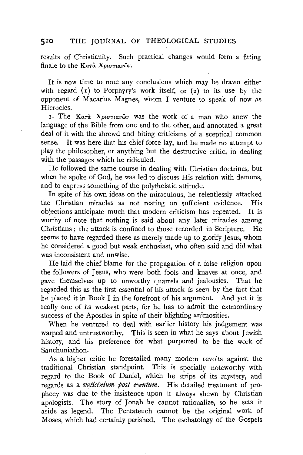results of Christianity. Such practical changes would form a fitting finale to the Kara Xptortavwv.

It is now time to note any conclusions which may be drawn either with regard  $(r)$  to Porphyry's work itself, or  $(2)$  to its use by the opponent of Macarius Magnes, whom I venture to speak of now as Hierocles.

I. The *Kara Χριστιανών* was the work of a man who knew the language of the Bible' from one end to the other, and annotated a great deal of it with the shrewd and biting criticisms of a sceptical common sense. It was here that his chief force lay, and he made no attempt to play the philosopher, or anything but the destructive critic, in dealing with the passages which he ridiculed.

He followed the same course in dealing with Christian doctrines, but when he spoke of God, he was led to discuss His relation with demons, and to express something of the polytheistic attitude.

In spite of his own ideas on the miraculous, he relentlessly attacked the Christian miracles as not resting on sufficient evidence. His objections anticipate much that modern criticism has repeated. It is worthy of note that nothing is said about any later miracles among Christians ; the attack is confined to those recorded in Scripture. He seems to have regarded these as merely made up to glorify Jesus, whom he considered a good but weak enthusiast, who often said and did what was inconsistent and unwise.

He laid the chief blame for the propagation of a false religion upon the followers of Jesus, who were both fools and knaves at once, and gave themselves up to unworthy quarrels and jealousies. That he regarded this as the first essential of his attack is seen by the fact that he placed it in Book I in the forefront of his argument. And yet it is really one of its weakest parts, for he has to admit the extraordinary success of the Apostles in spite of their blighting animosities.

When he ventured to deal with earlier history his judgement was warped and untrustworthy. This is seen in what he says about Jewish history, and his preference for what purported to be the work of Sanchuniathon.

As a higher critic he forestalled many modern revolts against the traditional Christian standpoint. This is specially noteworthy with regard to the Book of Daniel, which he strips of its mystery, and regards as a *vaticinium post eventum.* His detailed treatment of prophecy was due to the insistence upon it always shewn by Christian apologists. The story of Jonah he cannot rationalize, so he sets it aside as legend. The Pentateuch cannot be the original work of Moses, which had certainly perished. The eschatology of the Gospels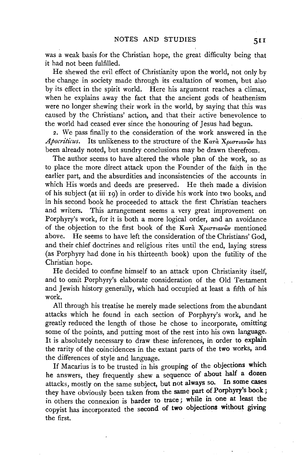was a weak basis for the Christian hope, the great difficulty being that it had not been fulfilled.

He shewed the evil effect of Christianity upon the world, not only by the change in society made through its exaltation of women, but also by its effect in the spirit world. Here his argument reaches a climax, when he explains away the fact that the ancient gods of heathenism were no longer shewing their work in the world, by saying that this was caused by the Christians' action, and that their active benevolence to the world had ceased ever since the honouring of Jesus had begun.

2. We pass finally to the consideration of the work answered in the *Apocriticus.* Its unlikeness to the structure of the Κατὰ Χριστιανῶν has been already noted, but sundry conclusions may be drawn therefrom.

The author seems to have altered the whole plan of the work, so as to place the more direct attack upon the Founder of the faith in the earlier part, and the absurdities and inconsistencies of the accounts in which His words and deeds are preserved. He theh made a division of his subject (at iii 19) in order to divide his work into two books, and in his second book he proceeded to attack the first Christian teachers and writers. This arrangement seems a very great improvement on Porphyry's work, for it is both a more logical order, and an avoidance of the objection to the first book of the  $K a\tau a X\rho\sigma\tau\tau\tau\alpha\gamma\omega\gamma$  mentioned above. He seems to have left the consideration of the Christians' God, and their chief doctrines and religious rites until the end, laying stress (as Porphyry had done in his thirteenth book) upon the futility of the Christian hope.

He decided to confine himself to an attack upon Christianity itself, and to omit Porphyry's elaborate consideration of the Old Testament and Jewish history generally, which had occupied at least a fifth of his work.

All through his treatise he merely made selections from the abundant attacks which he found in each section of Porphyry's work, and he greatly reduced the length of those he chose to incorporate, omitting some of the points, and putting most of the rest into his own language. It is absolutely necessary to draw these inferences, in order to explain the rarity of the coincidences in the extant parts of the two works, and the differences of style and language.

If Macarius is to be trusted in his grouping of the objections which he answers, they frequently shew a sequence of about half a dozen attacks, mostly on the same subject, but not always so. In some cases they have obviously been taken from the same part of Porphyry's book; in others the connexion is harder to trace; while in one at least the copyist has incorporated the second of two objections without giving the first.